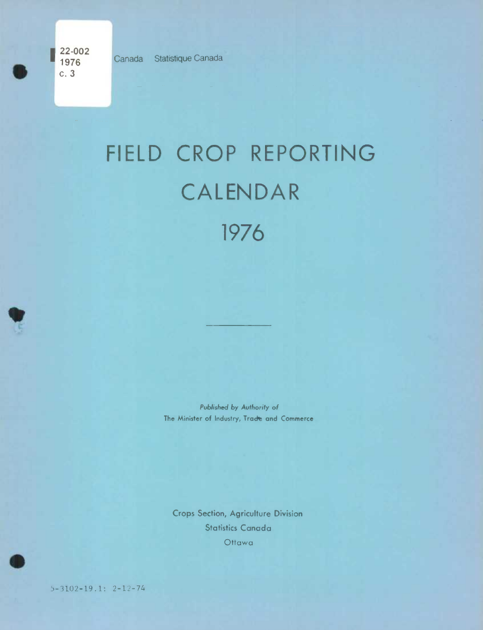**22-002 1976** Canada Statistique Canada<br>**C. 3** 

LA

## FIELD CROP REPORTING CALENDAR 1976

*Published by* Authority of The Minister of Industry, Tracte and Commerce

Crops Section, Agriculture Division Statistics Canada Ottawa

5-3102-191: 2-12-74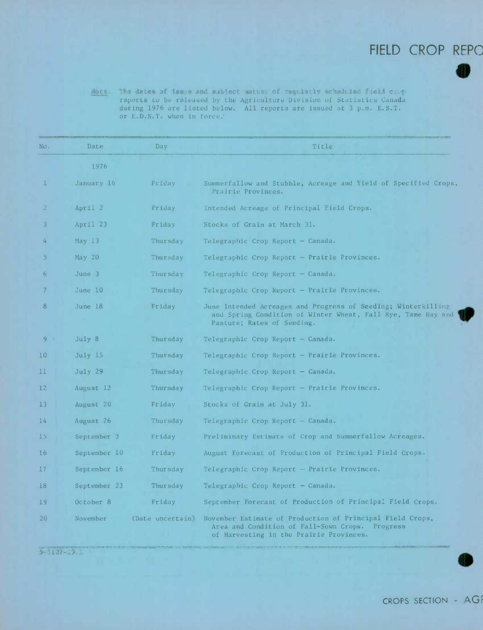## FIELD CROP REPC **I**

 $1$  Tie reports *to* be reieasd by the Agritulture Division of Statistics Canada during 1976 are listed below. All reports are issued at 3 p.m. E.S.T. or E.D.S.T. when in force:

| No.            | Date                 | Day              | Title                                                                                                                                                       |  |
|----------------|----------------------|------------------|-------------------------------------------------------------------------------------------------------------------------------------------------------------|--|
|                | 1976                 |                  |                                                                                                                                                             |  |
| $\mathbf{1}$   | January 16           | Friday           | Summerfallow and Stubble, Acreage and Yield of Specified Crops,<br>Prairie Provinces.                                                                       |  |
| 2              | April 2              | Friday           | Intended Acreage of Principal Field Crops.                                                                                                                  |  |
| 3              | April 23             | Friday           | Stocks of Grain at March 31.                                                                                                                                |  |
| 4              | May $13$             | Thursday         | Telegraphic Crop Report - Canada.                                                                                                                           |  |
| 5.             | May 20               | Thursday         | Telegraphic Crop Report - Prairie Provinces.                                                                                                                |  |
| 6              | June $3$             | Thursday         | Telegraphic Crop Report $-$ Canada.                                                                                                                         |  |
| 7              | June 10              | Thursday         | Telegraphic Crop Report - Prairie Provinces.                                                                                                                |  |
| 8              | June 18              | Friday           | June Intended Acreages and Progress of Seeding; Winterkilling<br>and Spring Condition of Winter Wheat, Fall Rye, Tame Hay and<br>Pasture; Rates of Seeding. |  |
| 9 <sup>1</sup> | July 8               | Thursday         | Telegraphic Crop Report - Canada.                                                                                                                           |  |
| 10             | July 15              | Thursday         | Telegraphic Crop Report - Prairie Provinces.                                                                                                                |  |
| 11             | July 29              | Thursday         | Telegraphic Crop Report - Canada.                                                                                                                           |  |
| $12 \,$        | August 12            | Thursday         | Telegraphic Crop Report - Prairie Provinces.                                                                                                                |  |
| 13             | August 20            | Friday           | Stocks of Grain at July 31.                                                                                                                                 |  |
| 14             | August 26            | Thursday         | Telegraphic Crop Report - Canada.                                                                                                                           |  |
| 15             | September 3          | Friday           | Preliminary Estimate of Crop and Summerfallow Acreages.                                                                                                     |  |
| 16             | September 10         | Friday           | August Forecast of Production of Principal Field Crops.                                                                                                     |  |
| 17             | September 16         | Thursday         | Telegraphic Crop Report - Prairie Provinces.                                                                                                                |  |
| 18             | September 23         | Thursday         | Telegraphic Crop Report - Canada.                                                                                                                           |  |
| 19             | October <sub>8</sub> | Friday           | September Forecast of Production of Principal Field Crops.                                                                                                  |  |
| 20             | November             | (Date uncertain) | November Estimate of Production of Principal Field Crops,<br>Area and Condition of Fall-Sown Crops. Progress<br>of Harvesting in the Prairie Provinces.     |  |

 $5 - 3102 - 19.1$ 

 $\bullet$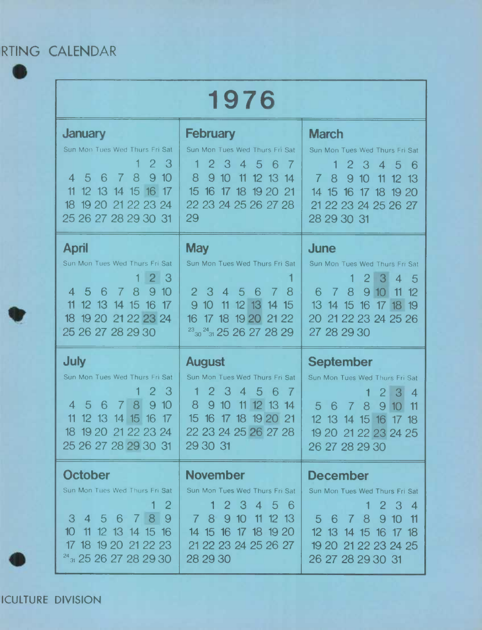RTING CALENDAR

 $\bullet$ 

*L]* 

| 1976                                                                                                                                                                                                                                                  |                                                                                                                                                                                                                                 |                                                                                                                                                                                                                            |  |  |  |
|-------------------------------------------------------------------------------------------------------------------------------------------------------------------------------------------------------------------------------------------------------|---------------------------------------------------------------------------------------------------------------------------------------------------------------------------------------------------------------------------------|----------------------------------------------------------------------------------------------------------------------------------------------------------------------------------------------------------------------------|--|--|--|
| <b>January</b><br>Sun Mon Tues Wed Thurs Fri Sat<br>2 <sub>3</sub><br>5 6 7<br>8<br>910<br>$\overline{4}$<br>12 13 14 15 16 17<br>11<br>18 19 20 21 22 23 24<br>25 26 27 28 29 30 31                                                                  | <b>February</b><br>Sun Mon Tues Wed Thurs Fri Sat<br>2345<br>- 6<br>-7<br>8<br>9 10 11 12 13 14<br>15 <sup>2</sup><br>16 17 18 19 20 21<br>22 23 24 25 26 27 28<br>29                                                           | <b>March</b><br>Sun Mon Tues Wed Thurs Fri Sat<br>2345<br>1.<br>- 6<br>7 8<br>9 10 11 12 13<br>14 15 16 17 18 19 20<br>21 22 23 24 25 26 27<br>28 29 30 31                                                                 |  |  |  |
| April<br>Sun Mon Tues Wed Thurs Fri Sat<br>2 3<br>1.<br>567<br>8<br>9 10<br>$\overline{4}$<br>12 13 14 15 16 17<br>11<br>18 19 20 21 22 23 24<br>25 26 27 28 29 30                                                                                    | <b>May</b><br>Sun Mon Tues Wed Thurs Fri Sat<br>$2 \overline{3}$<br>$4\quad5$<br>- 6<br>8<br>$\overline{7}$<br>9<br>10 <sup>°</sup><br>11 12 13 14 15<br>16 17 18 19 20 21 22<br>$\frac{23}{30}$ $\frac{24}{31}$ 25 26 27 28 29 | <b>June</b><br>Sun Mon Tues Wed Thurs Fri Sat<br>2 3 4 5<br>$\mathbf 1$<br>7 8 9 10 11 12<br>6<br>13 14 15 16 17 18 19<br>20 21 22 23 24 25 26<br>27 28 29 30                                                              |  |  |  |
| <b>July</b><br>Sun Mon Tues Wed Thurs Fri Sat<br>$2 \overline{3}$<br>$\overline{5}$<br>8 <sup>1</sup><br>9<br>10<br>-6<br>7 <sup>1</sup><br>$\overline{4}$<br>11<br>12 13 14 15 16<br>$\overline{17}$<br>18 19 20 21 22 23 24<br>25 26 27 28 29 30 31 | <b>August</b><br>Sun Mon Tues Wed Thurs Fri Sat<br>2 3<br>$4\overline{5}$<br>- 6<br>$\mathbf 1$<br>$\overline{7}$<br>8<br>910<br>11 12 13 14<br>15 16 17 18 19 20 21<br>22 23 24 25 26 27 28<br>29 30 31                        | <b>September</b><br>Sun Mon Tues Wed Thurs Fri Sat<br>$2 \overline{3}$<br>$\overline{4}$<br>1<br>8<br>9 <sup>10</sup><br>-6<br>5<br>$\overline{7}$<br>11<br>12 13 14 15 16 17 18<br>19 20 21 22 23 24 25<br>26 27 28 29 30 |  |  |  |
| <b>October</b><br>Sun Mon Tues Wed Thurs Fri Sat<br>$\mathbf{2}$<br>789<br>3 4 5 6<br>10 11 12 13 14 15 16<br>17 18 19 20 21 22 23<br>$24$ <sub>31</sub> 25 26 27 28 29 30                                                                            | <b>November</b><br>Sun Mon Tues Wed Thurs Fri Sat<br>$1\,2\,3$<br>4 5 6<br>7 8 9 10<br>11 12 13<br>14 15 16 17 18 19 20<br>21 22 23 24 25 26 27<br>28 29 30                                                                     | <b>December</b><br>Sun Mon Tues Wed Thurs Fri Sat<br>1 2 3 4<br>5 6 7 8<br>910<br>- 11<br>12 13 14 15 16 17 18<br>19 20 21 22 23 24 25<br>26 27 28 29 30 31                                                                |  |  |  |

ICULTURE DIVISION